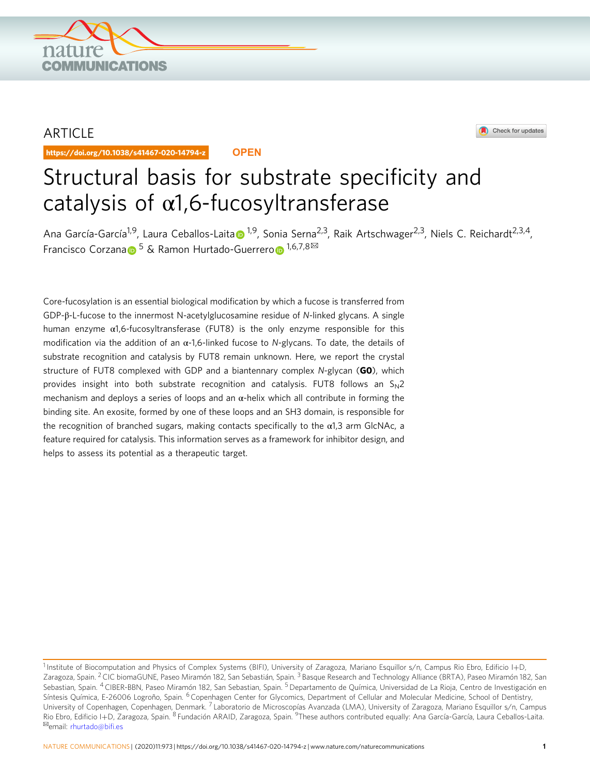

# ARTICLE

https://doi.org/10.1038/s41467-020-14794-z **OPEN**



# Structural basis for substrate specificity and catalysis of  $\alpha$ 1,6-fucosyltransferase

An[a](http://orcid.org/0000-0002-7223-1719) García-García<sup>[1](http://orcid.org/0000-0002-7223-1719),9</sup>, Laura Ceballos-Laita <sup>1,9</sup>, Sonia Serna<sup>2,3</sup>, Raik Artschwager<sup>2,3</sup>, Niels C. Reichardt<sup>2,3,4</sup>, Fr[a](http://orcid.org/0000-0001-5597-8127)ncisc[o](http://orcid.org/0000-0002-3122-9401) Corzana <sup>5</sup> & Ramon Hurtado-Guerrero <sup>1,6,7,8 $\boxtimes$ </sup>

Core-fucosylation is an essential biological modification by which a fucose is transferred from GDP-β-L-fucose to the innermost N-acetylglucosamine residue of N-linked glycans. A single human enzyme α1,6-fucosyltransferase (FUT8) is the only enzyme responsible for this modification via the addition of an  $\alpha$ -1,6-linked fucose to N-glycans. To date, the details of substrate recognition and catalysis by FUT8 remain unknown. Here, we report the crystal structure of FUT8 complexed with GDP and a biantennary complex  $N$ -glycan (GO), which provides insight into both substrate recognition and catalysis. FUT8 follows an  $S_N2$ mechanism and deploys a series of loops and an  $\alpha$ -helix which all contribute in forming the binding site. An exosite, formed by one of these loops and an SH3 domain, is responsible for the recognition of branched sugars, making contacts specifically to the  $\alpha$ 1,3 arm GlcNAc, a feature required for catalysis. This information serves as a framework for inhibitor design, and helps to assess its potential as a therapeutic target.

<sup>&</sup>lt;sup>1</sup> Institute of Biocomputation and Physics of Complex Systems (BIFI), University of Zaragoza, Mariano Esquillor s/n, Campus Rio Ebro, Edificio I+D, Zaragoza, Spain. <sup>2</sup> CIC biomaGUNE, Paseo Miramón 182, San Sebastián, Spain. <sup>3</sup> Basque Research and Technology Alliance (BRTA), Paseo Miramón 182, San Sebastian, Spain. <sup>4</sup> CIBER-BBN, Paseo Miramón 182, San Sebastian, Spain. <sup>5</sup> Departamento de Química, Universidad de La Rioja, Centro de Investigación en Síntesis Química, E-26006 Logroño, Spain. <sup>6</sup> Copenhagen Center for Glycomics, Department of Cellular and Molecular Medicine, School of Dentistry, University of Copenhagen, Copenhagen, Denmark.<sup>7</sup> Laboratorio de Microscopías Avanzada (LMA), University of Zaragoza, Mariano Esquillor s/n, Campus Rio Ebro, Edificio I+D, Zaragoza, Spain. <sup>8</sup> Fundación ARAID, Zaragoza, Spain. <sup>9</sup>These authors contributed equally: Ana García-García, Laura Ceballos-Laita.<br><sup>⊠</sup>email: [rhurtado@bi](mailto:rhurtado@bifi.es)fi.es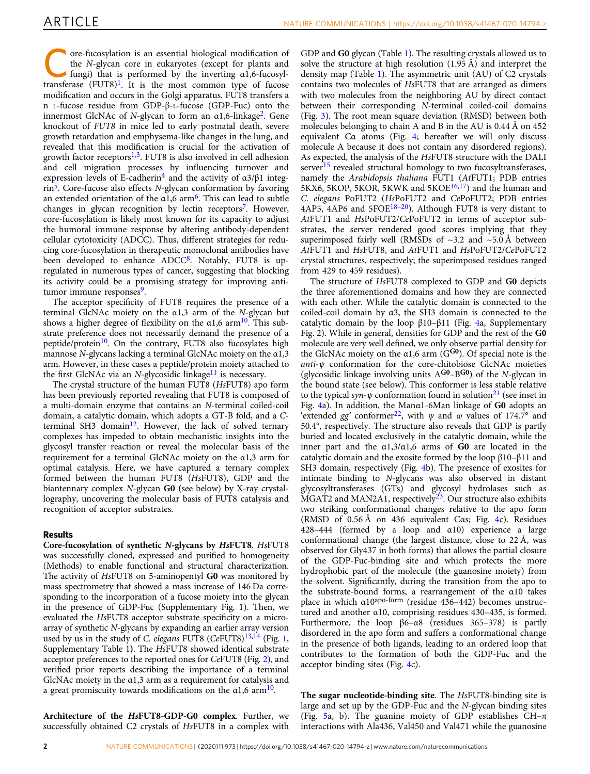**Core-fucosylation is an essential biological modification of**<br>the *N*-glycan core in eukaryotes (except for plants and<br>fungi) that is performed by the inverting  $\alpha$ 1,6-fucosyl-<br>transference  $\alpha$  is the biological manufac the N-glycan core in eukaryotes (except for plants and transferase  $(FUT8)^1$  $(FUT8)^1$ . It is the most common type of fucose modification and occurs in the Golgi apparatus. FUT8 transfers a n L-fucose residue from GDP-β-L-fucose (GDP-Fuc) onto the innermost GlcNAc of N-glycan to form an  $\alpha$ 1,6-linkage<sup>2</sup>. Gene knockout of FUT8 in mice led to early postnatal death, severe growth retardation and emphysema-like changes in the lung, and revealed that this modification is crucial for the activation of growth factor receptors $1,3$  $1,3$  $1,3$ . FUT8 is also involved in cell adhesion and cell migration processes by influencing turnover and expression levels of E-cadherin<sup>[4](#page-7-0)</sup> and the activity of  $\alpha$ 3/β1 integ- $rin<sup>5</sup>$  $rin<sup>5</sup>$  $rin<sup>5</sup>$ . Core-fucose also effects N-glycan conformation by favoring an extended orientation of the  $\alpha$ 1,[6](#page-7-0) arm<sup>6</sup>. This can lead to subtle changes in glycan recognition by lectin receptors<sup>[7](#page-8-0)</sup>. However, core-fucosylation is likely most known for its capacity to adjust the humoral immune response by altering antibody-dependent cellular cytotoxicity (ADCC). Thus, different strategies for reducing core-fucosylation in therapeutic monoclonal antibodies have been developed to enhance ADCC<sup>8</sup>. Notably, FUT8 is upregulated in numerous types of cancer, suggesting that blocking its activity could be a promising strategy for improving anti-tumor immune responses<sup>[9](#page-8-0)</sup>.

The acceptor specificity of FUT8 requires the presence of a terminal GlcNAc moiety on the α1,3 arm of the N-glycan but shows a higher degree of flexibility on the  $\alpha$ 1,6 arm<sup>10</sup>. This substrate preference does not necessarily demand the presence of a peptide/protein<sup>10</sup>. On the contrary, FUT8 also fucosylates high mannose N-glycans lacking a terminal GlcNAc moiety on the α1,3 arm. However, in these cases a peptide/protein moiety attached to the first GlcNAc via an N-glycosidic linkage $^{11}$  is necessary.

The crystal structure of the human FUT8 (HsFUT8) apo form has been previously reported revealing that FUT8 is composed of a multi-domain enzyme that contains an N-terminal coiled-coil domain, a catalytic domain, which adopts a GT-B fold, and a C-terminal SH3 domain<sup>[12](#page-8-0)</sup>. However, the lack of solved ternary complexes has impeded to obtain mechanistic insights into the glycosyl transfer reaction or reveal the molecular basis of the requirement for a terminal GlcNAc moiety on the α1,3 arm for optimal catalysis. Here, we have captured a ternary complex formed between the human FUT8 (HsFUT8), GDP and the biantennary complex N-glycan G0 (see below) by X-ray crystallography, uncovering the molecular basis of FUT8 catalysis and recognition of acceptor substrates.

### Results

Core-fucosylation of synthetic N-glycans by HsFUT8. HsFUT8 was successfully cloned, expressed and purified to homogeneity (Methods) to enable functional and structural characterization. The activity of HsFUT8 on 5-aminopentyl G0 was monitored by mass spectrometry that showed a mass increase of 146 Da corresponding to the incorporation of a fucose moiety into the glycan in the presence of GDP-Fuc (Supplementary Fig. 1). Then, we evaluated the HsFUT8 acceptor substrate specificity on a microarray of synthetic N-glycans by expanding an earlier array version used by us in the study of C. elegans FUT8 (CeFUT8)<sup>[13,14](#page-8-0)</sup> (Fig. [1,](#page-2-0) Supplementary Table 1). The HsFUT8 showed identical substrate acceptor preferences to the reported ones for CeFUT8 (Fig. [2](#page-3-0)), and verified prior reports describing the importance of a terminal GlcNAc moiety in the α1,3 arm as a requirement for catalysis and a great promiscuity towards modifications on the  $\alpha$ 1,6 arm<sup>10</sup>.

Architecture of the HsFUT8-GDP-G0 complex. Further, we successfully obtained C2 crystals of HsFUT8 in a complex with

GDP and G0 glycan (Table [1](#page-4-0)). The resulting crystals allowed us to solve the structure at high resolution (1.95 Å) and interpret the density map (Table [1](#page-4-0)). The asymmetric unit (AU) of C2 crystals contains two molecules of HsFUT8 that are arranged as dimers with two molecules from the neighboring AU by direct contact between their corresponding N-terminal coiled-coil domains (Fig. [3](#page-5-0)). The root mean square deviation (RMSD) between both molecules belonging to chain A and B in the AU is 0.44 Å on 452 equivalent Cα atoms (Fig. [4;](#page-5-0) hereafter we will only discuss molecule A because it does not contain any disordered regions). As expected, the analysis of the HsFUT8 structure with the DALI  $server<sup>15</sup> revealed structural homology to two fucosyltransferases,$  $server<sup>15</sup> revealed structural homology to two fucosyltransferases,$  $server<sup>15</sup> revealed structural homology to two fucosyltransferases,$ namely the Arabidopsis thaliana FUT1 (AtFUT1; PDB entries 5KX6, 5KOP, 5KOR, 5KWK and 5KOE $16,17$  and the human and C. elegans PoFUT2 (HsPoFUT2 and CePoFUT2; PDB entries  $4AP5$ ,  $4AP6$  and  $5FOE^{18-20}$  $5FOE^{18-20}$  $5FOE^{18-20}$  $5FOE^{18-20}$  $5FOE^{18-20}$ ). Although FUT8 is very distant to AtFUT1 and HsPoFUT2/CePoFUT2 in terms of acceptor substrates, the server rendered good scores implying that they superimposed fairly well (RMSDs of  $\sim$ 3.2 and  $\sim$ 5.0 Å between AtFUT1 and HsFUT8, and AtFUT1 and HsPoFUT2/CePoFUT2 crystal structures, respectively; the superimposed residues ranged from 429 to 459 residues).

The structure of HsFUT8 complexed to GDP and G0 depicts the three aforementioned domains and how they are connected with each other. While the catalytic domain is connected to the coiled-coil domain by α3, the SH3 domain is connected to the catalytic domain by the loop β10–β11 (Fig. [4](#page-5-0)a, Supplementary Fig. 2). While in general, densities for GDP and the rest of the G0 molecule are very well defined, we only observe partial density for the GlcNAc moiety on the  $\alpha$ 1,6 arm (G<sup>G0</sup>). Of special note is the anti-ψ conformation for the core-chitobiose GlcNAc moieties (glycosidic linkage involving units  $A^{G_0} - B^{G_0}$ ) of the N-glycan in the bound state (see below). This conformer is less stable relative to the typical syn- $\psi$  conformation found in solution<sup>[21](#page-8-0)</sup> (see inset in Fig. [4](#page-5-0)a). In addition, the Manα1-6Man linkage of G0 adopts an 'extended gg' conformer<sup>[22](#page-8-0)</sup>, with  $\psi$  and  $\omega$  values of 174.7° and 50.4°, respectively. The structure also reveals that GDP is partly buried and located exclusively in the catalytic domain, while the inner part and the  $\alpha$ 1,3/ $\alpha$ 1,6 arms of G0 are located in the catalytic domain and the exosite formed by the loop β10–β11 and SH3 domain, respectively (Fig. [4b](#page-5-0)). The presence of exosites for intimate binding to N-glycans was also observed in distant glycosyltransferases (GTs) and glycosyl hydrolases such as  $MGAT2$  and  $MAN2A1$ , respectively<sup>[23](#page-8-0)</sup>. Our structure also exhibits two striking conformational changes relative to the apo form (RMSD of 0.56 Å on 436 equivalent Cαs; Fig. [4](#page-5-0)c). Residues 428–444 (formed by a loop and α10) experience a large conformational change (the largest distance, close to 22 Å, was observed for Gly437 in both forms) that allows the partial closure of the GDP-Fuc-binding site and which protects the more hydrophobic part of the molecule (the guanosine moiety) from the solvent. Significantly, during the transition from the apo to the substrate-bound forms, a rearrangement of the α10 takes place in which  $\alpha$ 10<sup>apo-form</sup> (residue 436-442) becomes unstructured and another α10, comprising residues 430–435, is formed. Furthermore, the loop β6–α8 (residues 365–378) is partly disordered in the apo form and suffers a conformational change in the presence of both ligands, leading to an ordered loop that contributes to the formation of both the GDP-Fuc and the acceptor binding sites (Fig. [4](#page-5-0)c).

The sugar nucleotide-binding site. The HsFUT8-binding site is large and set up by the GDP-Fuc and the N-glycan binding sites (Fig. [5a](#page-6-0), b). The guanine moiety of GDP establishes CH–π interactions with Ala436, Val450 and Val471 while the guanosine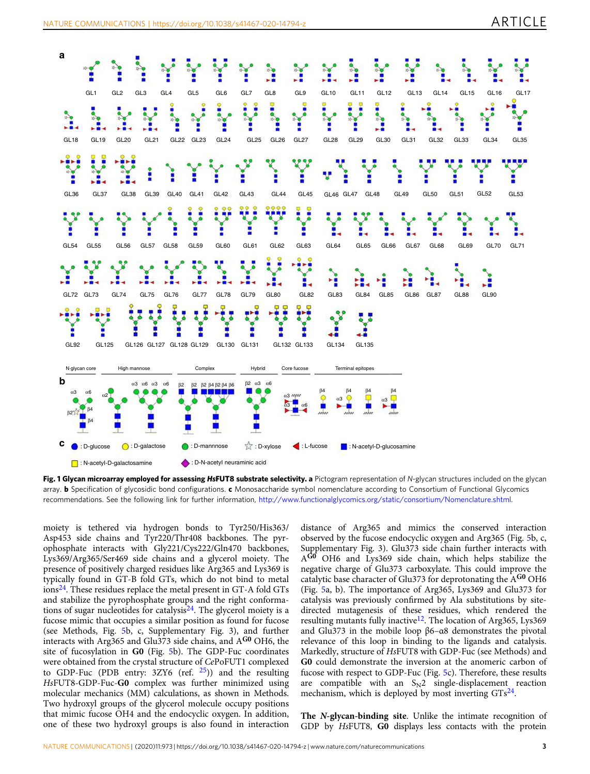<span id="page-2-0"></span>

Fig. 1 Glycan microarray employed for assessing HsFUT8 substrate selectivity. a Pictogram representation of N-glycan structures included on the glycan array. **b** Specification of glycosidic bond configurations. c Monosaccharide symbol nomenclature according to Consortium of Functional Glycomics recommendations. See the following link for further information, <http://www.functionalglycomics.org/static/consortium/Nomenclature.shtml>.

moiety is tethered via hydrogen bonds to Tyr250/His363/ Asp453 side chains and Tyr220/Thr408 backbones. The pyrophosphate interacts with Gly221/Cys222/Gln470 backbones, Lys369/Arg365/Ser469 side chains and a glycerol moiety. The presence of positively charged residues like Arg365 and Lys369 is typically found in GT-B fold GTs, which do not bind to metal  $\frac{1}{24}$ . These residues replace the metal present in GT-A fold GTs and stabilize the pyrophosphate groups and the right conformations of sugar nucleotides for catalysis $^{24}$ . The glycerol moiety is a fucose mimic that occupies a similar position as found for fucose (see Methods, Fig. [5](#page-6-0)b, c, Supplementary Fig. 3), and further interacts with Arg365 and Glu373 side chains, and AG0 OH6, the site of fucosylation in G0 (Fig. [5b](#page-6-0)). The GDP-Fuc coordinates were obtained from the crystal structure of CePoFUT1 complexed to GDP-Fuc (PDB entry: 3ZY6 (ref. [25\)](#page-8-0)) and the resulting HsFUT8-GDP-Fuc-G0 complex was further minimized using molecular mechanics (MM) calculations, as shown in Methods. Two hydroxyl groups of the glycerol molecule occupy positions that mimic fucose OH4 and the endocyclic oxygen. In addition, one of these two hydroxyl groups is also found in interaction

distance of Arg365 and mimics the conserved interaction observed by the fucose endocyclic oxygen and Arg365 (Fig. [5](#page-6-0)b, c, Supplementary Fig. 3). Glu373 side chain further interacts with AG0 OH6 and Lys369 side chain, which helps stabilize the negative charge of Glu373 carboxylate. This could improve the catalytic base character of Glu373 for deprotonating the  $A^{G0}$  OH6 (Fig. [5a](#page-6-0), b). The importance of Arg365, Lys369 and Glu373 for catalysis was previously confirmed by Ala substitutions by sitedirected mutagenesis of these residues, which rendered the resulting mutants fully inactive<sup>[12](#page-8-0)</sup>. The location of Arg365, Lys369 and Glu373 in the mobile loop β6–α8 demonstrates the pivotal relevance of this loop in binding to the ligands and catalysis. Markedly, structure of HsFUT8 with GDP-Fuc (see Methods) and G0 could demonstrate the inversion at the anomeric carbon of fucose with respect to GDP-Fuc (Fig. [5c](#page-6-0)). Therefore, these results are compatible with an  $S_N2$  single-displacement reaction mechanism, which is deployed by most inverting  $GTs^{24}$  $GTs^{24}$  $GTs^{24}$ .

The N-glycan-binding site. Unlike the intimate recognition of GDP by HsFUT8, G0 displays less contacts with the protein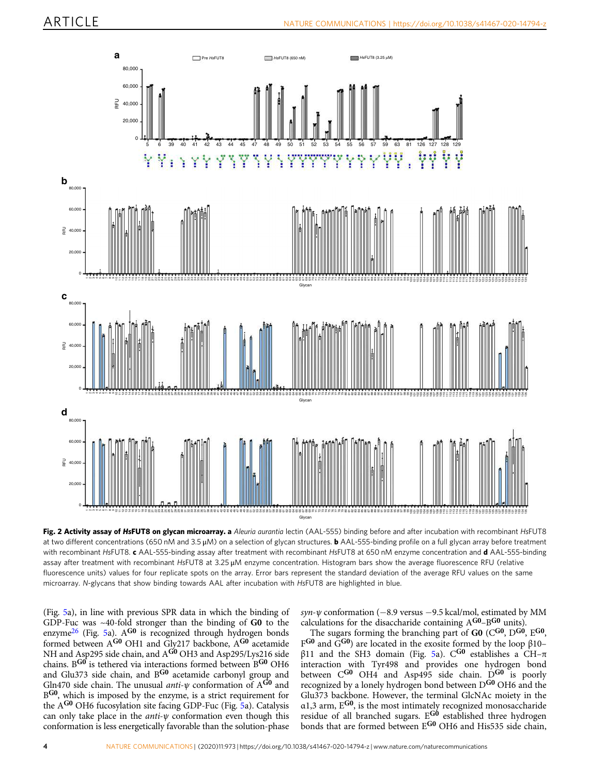<span id="page-3-0"></span>

Fig. 2 Activity assay of HsFUT8 on glycan microarray. a Aleuria aurantia lectin (AAL-555) binding before and after incubation with recombinant HsFUT8 at two different concentrations (650 nM and 3.5  $\mu$ M) on a selection of glycan structures. **b** AAL-555-binding profile on a full glycan array before treatment with recombinant HsFUT8. c AAL-555-binding assay after treatment with recombinant HsFUT8 at 650 nM enzyme concentration and d AAL-555-binding assay after treatment with recombinant HsFUT8 at 3.25 μM enzyme concentration. Histogram bars show the average fluorescence RFU (relative fluorescence units) values for four replicate spots on the array. Error bars represent the standard deviation of the average RFU values on the same microarray. N-glycans that show binding towards AAL after incubation with HsFUT8 are highlighted in blue.

(Fig. [5](#page-6-0)a), in line with previous SPR data in which the binding of GDP-Fuc was ~40-fold stronger than the binding of G0 to the enzyme<sup>26</sup> (Fig. [5a](#page-6-0)). A<sup>G0</sup> is recognized through hydrogen bonds formed between A<sup>G0</sup> OH1 and Gly217 backbone, A<sup>G0</sup> acetamide NH and Asp295 side chain, and A<sup>G0</sup> OH3 and Asp295/Lys216 side chains. B<sup>G0</sup> is tethered via interactions formed between B<sup>G0</sup> OH6 and Glu373 side chain, and B<sup>G0</sup> acetamide carbonyl group and Gln470 side chain. The unusual anti- $\psi$  conformation of A<sup>G0</sup> and B<sup>G0</sup>, which is imposed by the enzyme, is a strict requirement for the AG0 OH6 fucosylation site facing GDP-Fuc (Fig. [5](#page-6-0)a). Catalysis can only take place in the *anti-* $\psi$  conformation even though this conformation is less energetically favorable than the solution-phase

syn- $\psi$  conformation (−8.9 versus −9.5 kcal/mol, estimated by MM calculations for the disaccharide containing AG0–BG0 units).

The sugars forming the branching part of G0 (C<sup>G0</sup>, D<sup>G0</sup>, E<sup>G0</sup>, FG0 and  $\tilde{G}^{G0}$ ) are located in the exosite formed by the loop  $\beta$ 10– β11 and the SH3 domain (Fig. [5a](#page-6-0)). C<sup>G0</sup> establishes a CH- $π$ interaction with Tyr498 and provides one hydrogen bond between C<sup>G0</sup> OH4 and Asp495 side chain. D<sup>G0</sup> is poorly recognized by a lonely hydrogen bond between D<sup>G0</sup> OH6 and the Glu373 backbone. However, the terminal GlcNAc moiety in the α1,3 arm, EG0, is the most intimately recognized monosaccharide residue of all branched sugars.  $E^{G0}$  established three hydrogen bonds that are formed between E<sup>G0</sup> OH6 and His535 side chain,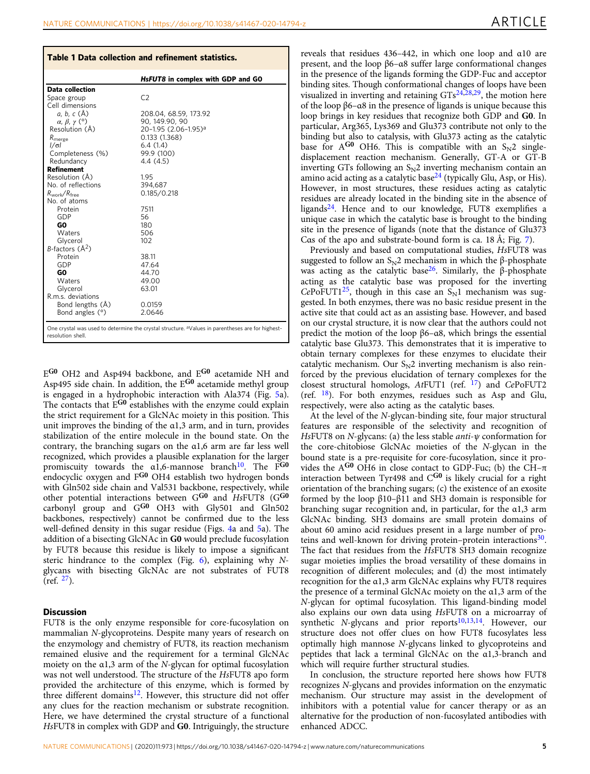<span id="page-4-0"></span>

| Table 1 Data collection and refinement statistics. |                                                                                                              |
|----------------------------------------------------|--------------------------------------------------------------------------------------------------------------|
|                                                    | HsFUT8 in complex with GDP and GO                                                                            |
| <b>Data collection</b>                             |                                                                                                              |
| Space group                                        | C2                                                                                                           |
| Cell dimensions                                    |                                                                                                              |
| a, b, c (Å)                                        | 208.04, 68.59, 173.92                                                                                        |
| $\alpha$ , $\beta$ , $\gamma$ (°)                  | 90, 149.90, 90                                                                                               |
| Resolution (Å)                                     | 20-1.95 (2.06-1.95) <sup>a</sup>                                                                             |
| R <sub>merge</sub>                                 | 0.133(1.368)                                                                                                 |
| $1/\sigma$                                         | 6.4(1.4)                                                                                                     |
| Completeness (%)                                   | 99.9 (100)                                                                                                   |
| Redundancy                                         | 4.4(4.5)                                                                                                     |
| <b>Refinement</b>                                  |                                                                                                              |
| Resolution (Å)                                     | 1.95                                                                                                         |
| No. of reflections                                 | 394.687                                                                                                      |
| $R_{work}/R_{free}$                                | 0.185/0.218                                                                                                  |
| No. of atoms                                       |                                                                                                              |
| Protein                                            | 7511                                                                                                         |
| GDP                                                | 56                                                                                                           |
| GO.                                                | 180                                                                                                          |
| Waters                                             | 506                                                                                                          |
| Glycerol                                           | 102                                                                                                          |
| $B$ -factors $(A2)$                                |                                                                                                              |
| Protein                                            | 38.11                                                                                                        |
| GDP                                                | 47.64                                                                                                        |
| GO                                                 | 44.70                                                                                                        |
| Waters                                             | 49.00                                                                                                        |
| Glycerol                                           | 63.01                                                                                                        |
| R.m.s. deviations                                  |                                                                                                              |
| Bond lengths (Å)                                   | 0.0159                                                                                                       |
| Bond angles (°)                                    | 2.0646                                                                                                       |
| resolution shell.                                  | One crystal was used to determine the crystal structure. <sup>a</sup> Values in parentheses are for highest- |

EG0 OH2 and Asp494 backbone, and EG0 acetamide NH and Asp495 side chain. In addition, the EG0 acetamide methyl group is engaged in a hydrophobic interaction with Ala374 (Fig. [5](#page-6-0)a). The contacts that E<sup>G0</sup> establishes with the enzyme could explain the strict requirement for a GlcNAc moiety in this position. This unit improves the binding of the α1,3 arm, and in turn, provides stabilization of the entire molecule in the bound state. On the contrary, the branching sugars on the α1,6 arm are far less well recognized, which provides a plausible explanation for the larger promiscuity towards the α1,6-mannose branch<sup>10</sup>. The F<sup>G0</sup> endocyclic oxygen and F<sup>G0</sup> OH4 establish two hydrogen bonds with Gln502 side chain and Val531 backbone, respectively, while other potential interactions between  $G^{G0}$  and  $Hs$ FUT8 ( $G^{G0}$ carbonyl group and  $G^{G0}$  OH3 with  $Gly501$  and  $Gln502$ backbones, respectively) cannot be confirmed due to the less well-defined density in this sugar residue (Figs. [4](#page-5-0)a and [5](#page-6-0)a). The addition of a bisecting GlcNAc in G0 would preclude fucosylation by FUT8 because this residue is likely to impose a significant steric hindrance to the complex (Fig.  $6$ ), explaining why Nglycans with bisecting GlcNAc are not substrates of FUT8  $(ref. <sup>27</sup>).$ 

#### **Discussion**

FUT8 is the only enzyme responsible for core-fucosylation on mammalian N-glycoproteins. Despite many years of research on the enzymology and chemistry of FUT8, its reaction mechanism remained elusive and the requirement for a terminal GlcNAc moiety on the α1,3 arm of the N-glycan for optimal fucosylation was not well understood. The structure of the HsFUT8 apo form provided the architecture of this enzyme, which is formed by three different domains<sup>12</sup>. However, this structure did not offer any clues for the reaction mechanism or substrate recognition. Here, we have determined the crystal structure of a functional HsFUT8 in complex with GDP and G0. Intriguingly, the structure reveals that residues 436–442, in which one loop and α10 are present, and the loop β6–α8 suffer large conformational changes in the presence of the ligands forming the GDP-Fuc and acceptor binding sites. Though conformational changes of loops have been visualized in inverting and retaining  $GTs^{24,28,29}$ , the motion here of the loop β6–α8 in the presence of ligands is unique because this loop brings in key residues that recognize both GDP and G0. In particular, Arg365, Lys369 and Glu373 contribute not only to the binding but also to catalysis, with Glu373 acting as the catalytic base for  $A^{G0}$  OH6. This is compatible with an  $S_N2$  singledisplacement reaction mechanism. Generally, GT-A or GT-B inverting GTs following an  $S_N2$  inverting mechanism contain an amino acid acting as a catalytic base<sup>[24](#page-8-0)</sup> (typically Glu, Asp, or His). However, in most structures, these residues acting as catalytic residues are already located in the binding site in the absence of ligands[24.](#page-8-0) Hence and to our knowledge, FUT8 exemplifies a unique case in which the catalytic base is brought to the binding site in the presence of ligands (note that the distance of Glu373 Cαs of the apo and substrate-bound form is ca. 18 Å; Fig. [7](#page-6-0)).

Previously and based on computational studies, HsFUT8 was suggested to follow an  $S_N$ 2 mechanism in which the β-phosphate was acting as the catalytic base<sup>26</sup>. Similarly, the β-phosphate acting as the catalytic base was proposed for the inverting  $CePoFUT1<sup>25</sup>$ , though in this case an  $S<sub>N</sub>1$  mechanism was suggested. In both enzymes, there was no basic residue present in the active site that could act as an assisting base. However, and based on our crystal structure, it is now clear that the authors could not predict the motion of the loop  $β6-α8$ , which brings the essential catalytic base Glu373. This demonstrates that it is imperative to obtain ternary complexes for these enzymes to elucidate their catalytic mechanism. Our  $S_N2$  inverting mechanism is also reinforced by the previous elucidation of ternary complexes for the closest structural homologs,  $At$ FUT1 (ref.  $^{17}$ ) and CePoFUT2 (ref.  $18$ ). For both enzymes, residues such as Asp and Glu, respectively, were also acting as the catalytic bases.

At the level of the N-glycan-binding site, four major structural features are responsible of the selectivity and recognition of HsFUT8 on N-glycans: (a) the less stable  $anti$ - $\psi$  conformation for the core-chitobiose GlcNAc moieties of the N-glycan in the bound state is a pre-requisite for core-fucosylation, since it provides the A<sup>G0</sup> OH6 in close contact to GDP-Fuc; (b) the CH- $\pi$ interaction between Tyr498 and  $C^{G0}$  is likely crucial for a right orientation of the branching sugars; (c) the existence of an exosite formed by the loop β10–β11 and SH3 domain is responsible for branching sugar recognition and, in particular, for the α1,3 arm GlcNAc binding. SH3 domains are small protein domains of about 60 amino acid residues present in a large number of proteins and well-known for driving protein–protein interactions<sup>30</sup>. The fact that residues from the HsFUT8 SH3 domain recognize sugar moieties implies the broad versatility of these domains in recognition of different molecules; and (d) the most intimately recognition for the α1,3 arm GlcNAc explains why FUT8 requires the presence of a terminal GlcNAc moiety on the α1,3 arm of the N-glycan for optimal fucosylation. This ligand-binding model also explains our own data using HsFUT8 on a microarray of synthetic N-glycans and prior reports<sup>[10](#page-8-0),[13](#page-8-0),[14](#page-8-0)</sup>. However, our structure does not offer clues on how FUT8 fucosylates less optimally high mannose N-glycans linked to glycoproteins and peptides that lack a terminal GlcNAc on the α1,3-branch and which will require further structural studies.

In conclusion, the structure reported here shows how FUT8 recognizes N-glycans and provides information on the enzymatic mechanism. Our structure may assist in the development of inhibitors with a potential value for cancer therapy or as an alternative for the production of non-fucosylated antibodies with enhanced ADCC.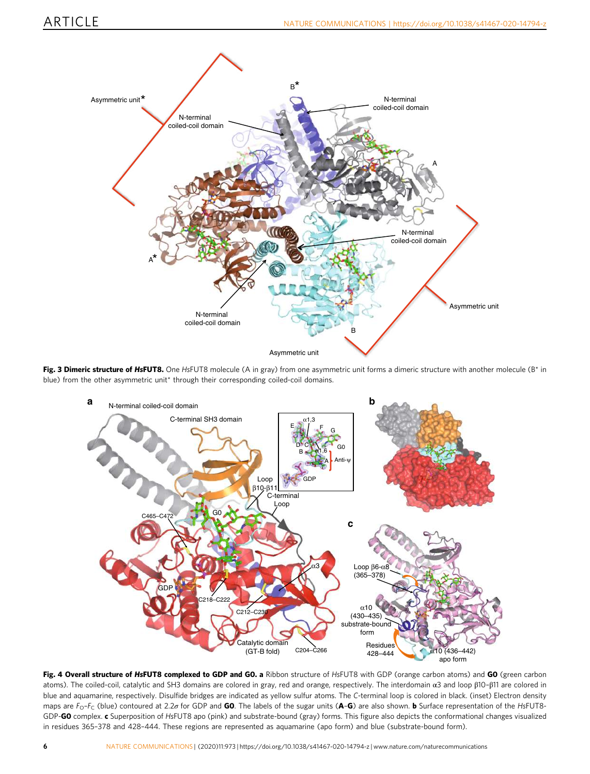<span id="page-5-0"></span>

Fig. 3 Dimeric structure of HsFUT8. One HsFUT8 molecule (A in gray) from one asymmetric unit forms a dimeric structure with another molecule (B\* in blue) from the other asymmetric unit\* through their corresponding coiled-coil domains.



Fig. 4 Overall structure of HsFUT8 complexed to GDP and GO. a Ribbon structure of HsFUT8 with GDP (orange carbon atoms) and GO (green carbon atoms). The coiled-coil, catalytic and SH3 domains are colored in gray, red and orange, respectively. The interdomain α3 and loop β10–β11 are colored in blue and aquamarine, respectively. Disulfide bridges are indicated as yellow sulfur atoms. The C-terminal loop is colored in black. (inset) Electron density maps are  $F_{\rm O}$ – $F_{\rm C}$  (blue) contoured at 2.2 $\sigma$  for GDP and **G0**. The labels of the sugar units (**A–G**) are also shown. **b** Surface representation of the HsFUT8-GDP-GO complex. c Superposition of HsFUT8 apo (pink) and substrate-bound (gray) forms. This figure also depicts the conformational changes visualized in residues 365–378 and 428–444. These regions are represented as aquamarine (apo form) and blue (substrate-bound form).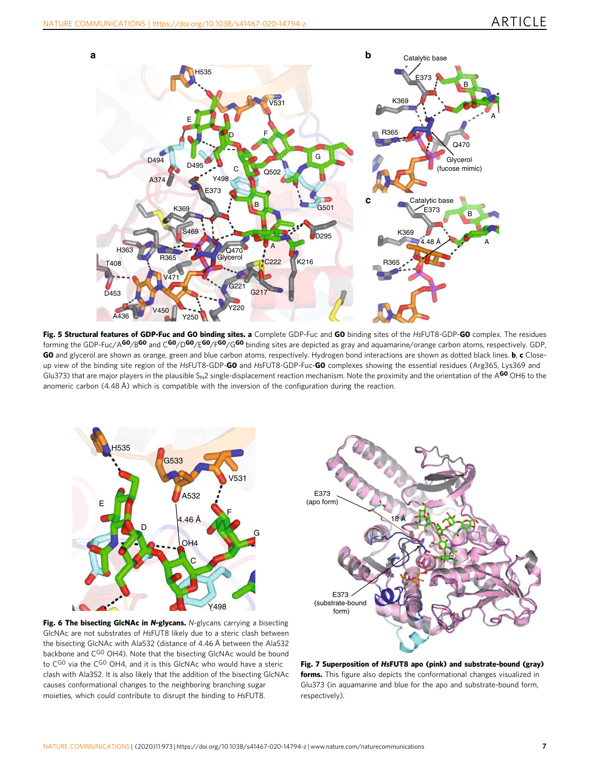<span id="page-6-0"></span>

Fig. 5 Structural features of GDP-Fuc and GO binding sites. a Complete GDP-Fuc and GO binding sites of the HsFUT8-GDP-GO complex. The residues forming the GDP-Fuc/A<sup>GO</sup>/B<sup>GO</sup> and C<sup>GO</sup>/D<sup>GO</sup>/E<sup>GO</sup>/G<sup>GO</sup> binding sites are depicted as gray and aquamarine/orange carbon atoms, respectively. GDP, GO and glycerol are shown as orange, green and blue carbon atoms, respectively. Hydrogen bond interactions are shown as dotted black lines. b, c Closeup view of the binding site region of the HsFUT8-GDP-GO and HsFUT8-GDP-Fuc-GO complexes showing the essential residues (Arg365, Lys369 and Glu373) that are major players in the plausible S<sub>N</sub>2 single-displacement reaction mechanism. Note the proximity and the orientation of the A<sup>GO</sup> OH6 to the anomeric carbon (4.48 Å) which is compatible with the inversion of the configuration during the reaction.





Fig. 6 The bisecting GlcNAc in N-glycans. N-glycans carrying a bisecting GlcNAc are not substrates of HsFUT8 likely due to a steric clash between the bisecting GlcNAc with Ala532 (distance of 4.46 Å between the Ala532 backbone and CGO OH4). Note that the bisecting GlcNAc would be bound to  $C^{GO}$  via the  $C^{GO}$  OH4, and it is this GlcNAc who would have a steric clash with Ala352. It is also likely that the addition of the bisecting GlcNAc causes conformational changes to the neighboring branching sugar moieties, which could contribute to disrupt the binding to HsFUT8.

Fig. 7 Superposition of HsFUT8 apo (pink) and substrate-bound (gray) forms. This figure also depicts the conformational changes visualized in Glu373 (in aquamarine and blue for the apo and substrate-bound form, respectively).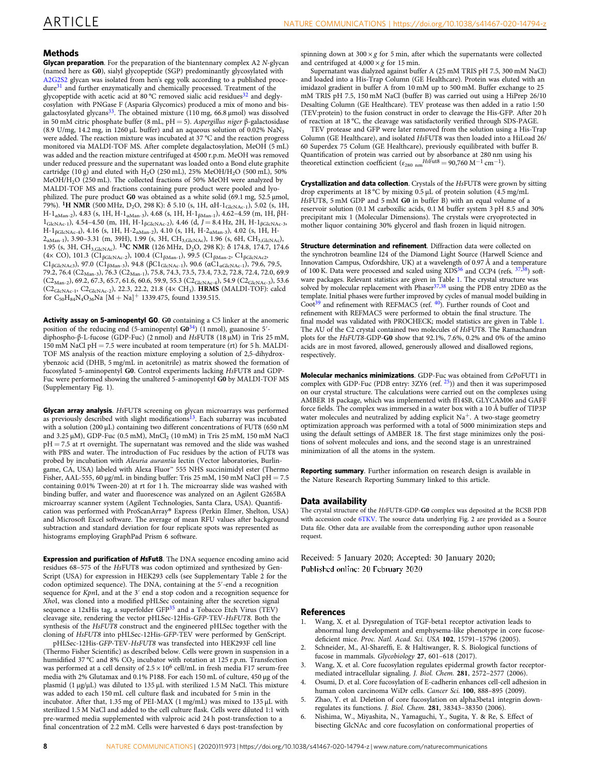## <span id="page-7-0"></span>**Methods**

**Glycan preparation**. For the preparation of the biantennary complex A2 N-glycan (named here as G0), sialyl glycopeptide (SGP) predominantly glycosylated with [A2G2S2](https://www.uniprot.org/uniprot/A2G2S2) glycan was isolated from hen's egg yolk according to a published proce-dure<sup>[31](#page-8-0)</sup> and further enzymatically and chemically processed. Treatment of the glycopeptide with acetic acid at 80 °C removed sialic acid residues<sup>[32](#page-8-0)</sup> and deglycosylation with PNGase F (Asparia Glycomics) produced a mix of mono and bis-galactosylated glycans<sup>[33](#page-8-0)</sup>. The obtained mixture (110 mg, 66.8 µmol) was dissolved in 50 mM citric phosphate buffer (8 mL, pH = 5). Aspergillus niger β-galactosidase (8.9 U/mg, 14.2 mg, in 1260  $\mu$ L buffer) and an aqueous solution of 0.02% NaN<sub>3</sub> were added. The reaction mixture was incubated at 37 °C and the reaction progress monitored via MALDI-TOF MS. After complete degalactosylation, MeOH (5 mL) was added and the reaction mixture centrifuged at 4500 r.p.m. MeOH was removed under reduced pressure and the supernatant was loaded onto a Bond elute graphite cartridge (10 g) and eluted with H<sub>2</sub>O (250 mL), 25% MeOH/H<sub>2</sub>O (500 mL), 50% MeOH/H2O (250 mL). The collected fractions of 50% MeOH were analyzed by MALDI-TOF MS and fractions containing pure product were pooled and lyophilized. The pure product G0 was obtained as a white solid (69.1 mg, 52.5 µmol, 79%). 1H NMR (500 MHz, D2O, 298 K): δ 5.10 (s, 1H, αH-1GlcNAc-1), 5.02 (s, 1H, H-1αMan-2), 4.83 (s, 1H, H-1αMan-3), 4.68 (s, 1H, H-1βMan-1), 4.62–4.59 (m, 1H, βH- $1_{\text{GlcNAc-1}}$ ), 4.54–4.50 (m, 1H, H-1<sub>βGlcNAc-2</sub>), 4.46 (d, J = 8.4 Hz, 2H, H-1<sub>βGlcNAc-3</sub>, H-1βGlcNAc-4), 4.16 (s, 1H, H-2αMan-2), 4.10 (s, 1H, H-2αMan-3), 4.02 (s, 1H, H- $2_{\text{aMan-1}}$ , 3.90–3.31 (m, 39H), 1.99 (s, 3H, CH<sub>3,GlcNAc</sub>), 1.96 (s, 6H, CH<sub>3,GlcNAc</sub>), 1.95 (s, 3H, CH<sub>3,GlcNAc</sub>). <sup>13</sup>C NMR (126 MHz, D<sub>2</sub>O, 298 K): δ 174.8, 174.7, 174.6 (4× CO), 101.3 (C1<sub>βGlcNAc-2</sub>), 100.4 (C1<sub>βMan-1</sub>), 99.5 (C1<sub>βMan-2</sub>, C1<sub>βGlcNAc2</sub>,  $CI<sub>\beta</sub>$ GlcNAc3), 97.0 (C1<sub>βMan-3</sub>), 94.8 ( $\beta$ C1<sub>GlcNAc-1</sub>), 90.6 (αC1<sub>αGlcNAc-1</sub>), 79.6, 79.5, 79.2, 76.4 (C2<sub>Man-3</sub>), 76.3 (C2<sub>Man-1</sub>), 75.8, 74.3, 73.5, 73.4, 73.2, 72.8, 72.4, 72.0, 69.9  $(C_{2_{\text{Man-2}}}, 69.2, 67.3, 65.7, 61.6, 60.6, 59.9, 55.3 (C_{2_{\text{GlcNAc-4}}}, 54.9 (C_{2_{\text{GlcNAc-3}}}), 53.6)$ (C2GlcNAc-1, C2GlcNAc-2), 22.3, 22.2, 21.8 (4× CH3). HRMS (MALDI-TOF): calcd for  $C_{50}H_{84}N_4O_{36}Na$  [M + Na]<sup>+</sup> 1339.475, found 1339.515.

Activity assay on 5-aminopentyl GO. GO containing a C5 linker at the anomeric position of the reducing end (5-aminopentyl G0<sup>34</sup>) (1 nmol), guanosine 5' diphospho-β-L-fucose (GDP-Fuc) (2 nmol) and HsFUT8 (18 µM) in Tris 25 mM,  $150 \text{ mM }$  NaCl pH = 7.5 were incubated at room temperature (rt) for 5 h. MALDI-TOF MS analysis of the reaction mixture employing a solution of 2,5-dihydroxybenzoic acid (DHB, 5 mg/mL in acetonitrile) as matrix showed the formation of fucosylated 5-aminopentyl G0. Control experiments lacking HsFUT8 and GDP-Fuc were performed showing the unaltered 5-aminopentyl G0 by MALDI-TOF MS (Supplementary Fig. 1).

Glycan array analysis. HsFUT8 screening on glycan microarrays was performed as previously described with slight modifications<sup>[13](#page-8-0)</sup>. Each subarray was incubated with a solution (200 µL) containing two different concentrations of FUT8 (650 nM and 3.25  $\mu$ M), GDP-Fuc (0.5 mM), MnCl<sub>2</sub> (10 mM) in Tris 25 mM, 150 mM NaCl  $pH = 7.5$  at rt overnight. The supernatant was removed and the slide was washed with PBS and water. The introduction of Fuc residues by the action of FUT8 was probed by incubation with Aleuria aurantia lectin (Vector laboratories, Burlingame, CA, USA) labeled with Alexa Fluor<sup>™</sup> 555 NHS succinimidyl ester (Thermo Fisher, AAL-555, 60 µg/mL in binding buffer: Tris 25 mM, 150 mM NaCl pH = 7.5 containing 0.01% Tween-20) at rt for 1 h. The microarray slide was washed with binding buffer, and water and fluorescence was analyzed on an Agilent G265BA microarray scanner system (Agilent Technologies, Santa Clara, USA). Quantification was performed with ProScanArray® Express (Perkin Elmer, Shelton, USA) and Microsoft Excel software. The average of mean RFU values after background subtraction and standard deviation for four replicate spots was represented as histograms employing GraphPad Prism 6 software.

Expression and purification of HsFut8. The DNA sequence encoding amino acid residues 68–575 of the HsFUT8 was codon optimized and synthesized by Gen-Script (USA) for expression in HEK293 cells (see Supplementary Table 2 for the codon optimized sequence). The DNA, containing at the 5′-end a recognition sequence for KpnI, and at the 3' end a stop codon and a recognition sequence for XhoI, was cloned into a modified pHLSec containing after the secretion signal sequence a 12xHis tag, a superfolder GFP<sup>[35](#page-8-0)</sup> and a Tobacco Etch Virus (TEV) cleavage site, rendering the vector pHLSec-12His-GFP-TEV-HsFUT8. Both the synthesis of the HsFUT8 construct and the engineered pHLSec together with the cloning of HsFUT8 into pHLSec-12His-GFP-TEV were performed by GenScript.

pHLSec-12His-GFP-TEV-HsFUT8 was transfected into HEK293F cell line (Thermo Fisher Scientific) as described below. Cells were grown in suspension in a humidified 37 °C and 8% CO<sub>2</sub> incubator with rotation at 125 r.p.m. Transfection was performed at a cell density of  $2.5 \times 10^6$  cell/mL in fresh media F17 serum-free media with 2% Glutamax and 0.1% P188. For each 150 mL of culture, 450 μg of the plasmid (1 μg/μL) was diluted to 135 µL with sterilized 1.5 M NaCl. This mixture was added to each 150 mL cell culture flask and incubated for 5 min in the incubator. After that, 1.35 mg of PEI-MAX (1 mg/mL) was mixed to 135 µL with sterilized 1.5 M NaCl and added to the cell culture flask. Cells were diluted 1:1 with pre-warmed media supplemented with valproic acid 24 h post-transfection to a final concentration of 2.2 mM. Cells were harvested 6 days post-transfection by

spinning down at  $300 \times g$  for 5 min, after which the supernatants were collected and centrifuged at  $4,000 \times g$  for 15 min.

Supernatant was dialyzed against buffer A (25 mM TRIS pH 7.5, 300 mM NaCl) and loaded into a His-Trap Column (GE Healthcare). Protein was eluted with an imidazol gradient in buffer A from 10 mM up to 500 mM. Buffer exchange to 25 mM TRIS pH 7.5, 150 mM NaCl (buffer B) was carried out using a HiPrep 26/10 Desalting Column (GE Healthcare). TEV protease was then added in a ratio 1:50 (TEV:protein) to the fusion construct in order to cleavage the His-GFP. After 20 h of reaction at 18 °C, the cleavage was satisfactorily verified through SDS-PAGE.

TEV protease and GFP were later removed from the solution using a His-Trap Column (GE Healthcare), and isolated HsFUT8 was then loaded into a HiLoad 26/ 60 Superdex 75 Colum (GE Healthcare), previously equilibrated with buffer B. Quantification of protein was carried out by absorbance at 280 nm using his theoretical extinction coefficient ( $\varepsilon_{280 \text{ nm}}$  HsFut8 = 90,760 M<sup>-1</sup> cm<sup>-1</sup>).

**Crystallization and data collection**. Crystals of the HsFUT8 were grown by sitting drop experiments at 18 °C by mixing 0.5 μL of protein solution (4.5 mg/mL HsFUT8, 5 mM GDP and 5 mM G0 in buffer B) with an equal volume of a reservoir solution (0.1 M carboxilic acids, 0.1 M buffer system 3 pH 8.5 and 30% precipitant mix 1 (Molecular Dimensions). The crystals were cryoprotected in mother liquor containing 30% glycerol and flash frozen in liquid nitrogen.

Structure determination and refinement. Diffraction data were collected on the synchrotron beamline I24 of the Diamond Light Source (Harwell Science and Innovation Campus, Oxfordshire, UK) at a wavelength of 0.97 Å and a temperature of 100 K. Data were processed and scaled using  $XDS^{36}$  $XDS^{36}$  $XDS^{36}$  and CCP4 (refs.  $37,38$ ) soft-ware packages. Relevant statistics are given in Table [1.](#page-4-0) The crystal structure was<br>solved by molecular replacement with Phaser<sup>[37](#page-8-0),[38](#page-8-0)</sup> using the PDB entry 2DE0 as the template. Initial phases were further improved by cycles of manual model building in  $Coot<sup>39</sup>$  and refinement with REFMAC5 (ref.  $40$ ). Further rounds of Coot and refinement with REFMAC5 were performed to obtain the final structure. The final model was validated with PROCHECK; model statistics are given in Table [1.](#page-4-0) The AU of the C2 crystal contained two molecules of HsFUT8. The Ramachandran plots for the HsFUT8-GDP-G0 show that 92.1%, 7.6%, 0.2% and 0% of the amino acids are in most favored, allowed, generously allowed and disallowed regions, respectively.

Molecular mechanics minimizations. GDP-Fuc was obtained from CePoFUT1 in complex with GDP-Fuc (PDB entry:  $3ZY6$  (ref.  $25$ )) and then it was superimposed on our crystal structure. The calculations were carried out on the complexes using AMBER 18 package, which was implemented with ff14SB, GLYCAM06 and GAFF force fields. The complex was immersed in a water box with a 10 Å buffer of TIP3P water molecules and neutralized by adding explicit  $Na<sup>+</sup>$ . A two-stage geometry optimization approach was performed with a total of 5000 minimization steps and using the default settings of AMBER 18. The first stage minimizes only the positions of solvent molecules and ions, and the second stage is an unrestrained minimization of all the atoms in the system.

Reporting summary. Further information on research design is available in the Nature Research Reporting Summary linked to this article.

#### Data availability

The crystal structure of the HsFUT8-GDP-G0 complex was deposited at the RCSB PDB with accession code [6TKV](https://www.rcsb.org/structure/6TKV). The source data underlying Fig. 2 are provided as a Source Data file. Other data are available from the corresponding author upon reasonable request.

Received: 5 January 2020; Accepted: 30 January 2020; Published online: 20 February 2020

#### References

- 1. Wang, X. et al. Dysregulation of TGF-beta1 receptor activation leads to abnormal lung development and emphysema-like phenotype in core fucosedeficient mice. Proc. Natl. Acad. Sci. USA 102, 15791–15796 (2005).
- 2. Schneider, M., Al-Shareffi, E. & Haltiwanger, R. S. Biological functions of fucose in mammals. Glycobiology 27, 601–618 (2017).
- Wang, X. et al. Core fucosylation regulates epidermal growth factor receptormediated intracellular signaling. J. Biol. Chem. 281, 2572–2577 (2006).
- 4. Osumi, D. et al. Core fucosylation of E-cadherin enhances cell-cell adhesion in human colon carcinoma WiDr cells. Cancer Sci. 100, 888–895 (2009).
- 5. Zhao, Y. et al. Deletion of core fucosylation on alpha3beta1 integrin downregulates its functions. J. Biol. Chem. 281, 38343–38350 (2006).
- 6. Nishima, W., Miyashita, N., Yamaguchi, Y., Sugita, Y. & Re, S. Effect of bisecting GlcNAc and core fucosylation on conformational properties of